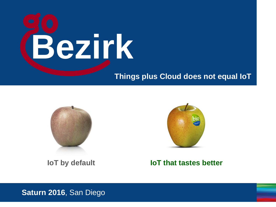

#### **Things plus Cloud does not equal IoT**



**IoT by default**



#### **IoT that tastes better**

#### **Saturn 2016**, San Diego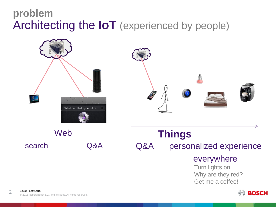#### **problem** Architecting the **IoT** (experienced by people)



personalized experience everywhere Turn lights on Why are they red? Get me a coffee! search Q&A Q&A

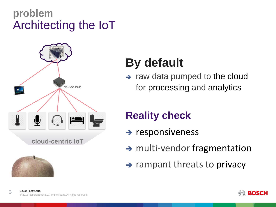#### **problem** Architecting the IoT





## **By default**

 $\rightarrow$  raw data pumped to the cloud for processing and analytics

#### **Reality check**

- $\rightarrow$  responsiveness
- $\rightarrow$  multi-vendor fragmentation
- $\rightarrow$  rampant threats to privacy

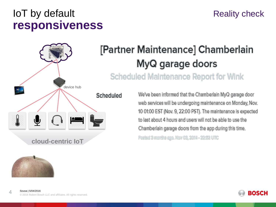#### IoT by default **responsiveness**

## Reality check





## [Partner Maintenance] Chamberlain MyQ garage doors

**Scheduled Maintenance Report for Wink** 

We've been informed that the Chamberlain MyQ garage door web services will be undergoing maintenance on Monday, Nov. 10 01:00 EST (Nov. 9, 22:00 PST). The maintenance is expected to last about 4 hours and users will not be able to use the Chamberlain garage doors from the app during this time.

Factsd 3 marths ago. Nov 02, 2014 - 22:52 UTC

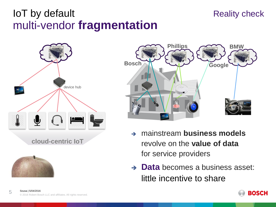#### IoT by default multi-vendor **fragmentation**

# Reality check **Bosch Phillips Google BMW**

**cloud-centric IoT** device hub



- mainstream **business models** revolve on the **value of data** for service providers
- **→ Data** becomes a business asset: little incentive to share



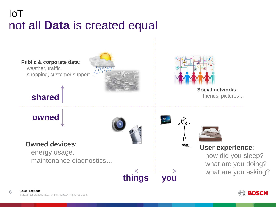### IoT not all **Data** is created equal



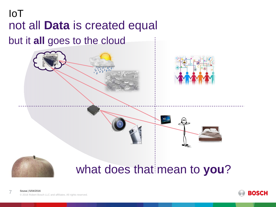## IoT not all **Data** is created equal but it **all** goes to the cloud









## what does that mean to **you**?

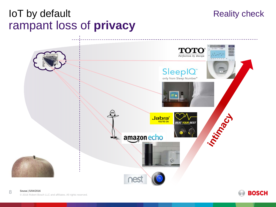#### IoT by default rampant loss of **privacy**





Reality check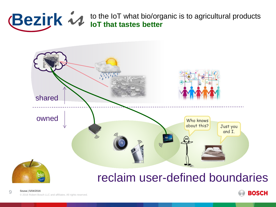## roducts **Bezirk**  $\mathcal{U}$  to the IoT what bio/organic is to agricultural products



#### reclaim user-defined boundaries



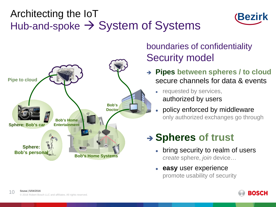### Architecting the IoT Hub-and-spoke  $\rightarrow$  System of Systems





#### boundaries of confidentiality Security model

- **Pipes between spheres / to cloud** secure channels for data & events
	- requested by services, authorized by users
	- policy enforced by middleware only authorized exchanges go through

## **Spheres of trust**

- bring security to realm of users *create* sphere, *join* device…
- **easy** user experience promote usability of security

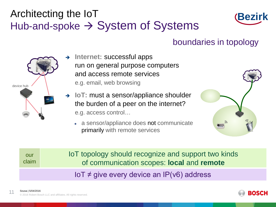## Architecting the IoT Hub-and-spoke  $\rightarrow$  System of Systems



#### boundaries in topology



- $\rightarrow$  Internet: successful apps run on general purpose computers and access remote services e.g. email, web browsing
- **IoT:** must a sensor/appliance shoulder the burden of a peer on the internet? e.g. access control…
	- a sensor/appliance does not communicate primarily with remote services



| our   | <b>IoT topology should recognize and support two kinds</b> |
|-------|------------------------------------------------------------|
| claim | of communication scopes: local and remote                  |
|       | $I \circ T \neq$ give every device an IP(v6) address       |



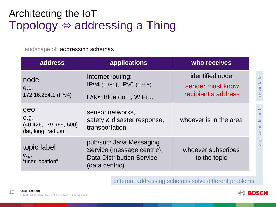## Architecting the IoT Topology  $\Leftrightarrow$  addressing a Thing

landscape of addressing schemas

| address                                                        | applications                                                                                                | who receives                                               |
|----------------------------------------------------------------|-------------------------------------------------------------------------------------------------------------|------------------------------------------------------------|
| node<br>e.g.<br>172.16.254.1 (IPv4)                            | Internet routing:<br>IPv4 (1981), IPv6 (1998)<br>LANs: Bluetooth, WiFi                                      | identified node<br>sender must know<br>recipient's address |
| geo<br>e.g.<br>$(40.426, -79.965, 500)$<br>(lat, long, radius) | sensor networks,<br>safety & disaster response,<br>transportation                                           | whoever is in the area                                     |
| topic label<br>e.g.<br>"user location"                         | pub/sub: Java Messaging<br>Service (message centric),<br><b>Data Distribution Service</b><br>(data centric) | whoever subscribes<br>to the topic                         |

different addressing schemas solve different problems



application defined network def.

application defined

network def.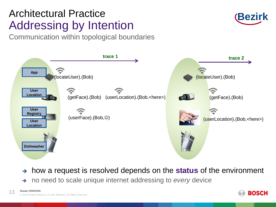## Architectural Practice Addressing by Intention

Communication within topological boundaries





- $\rightarrow$  how a request is resolved depends on the **status** of the environment
- → no need to scale unique internet addressing to *every* device

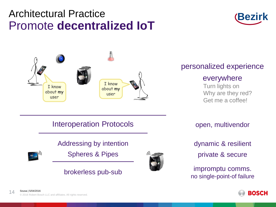#### Architectural Practice Promote **decentralized IoT**





Interoperation Protocols **Example 20 open, multivendor** 

#### Addressing by intention



Spheres & Pipes



#### personalized experience

#### everywhere

Turn lights on Why are they red? Get me a coffee!

dynamic & resilient private & secure

impromptu comms. brokerless pub-sub<br>no single-point-of failure

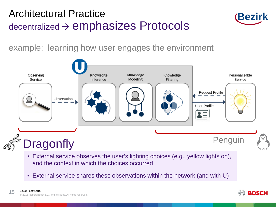#### Architectural Practice  $decentralized  $\rightarrow$  *emphasizes Protocols*$



example: learning how user engages the environment

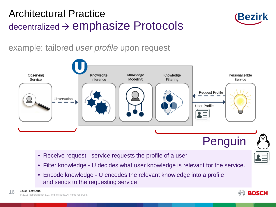#### Architectural Practice  $decentralized \rightarrow$  emphasize Protocols



example: tailored *user profile* upon request



- Receive request service requests the profile of a user
- Filter knowledge U decides what user knowledge is relevant for the service.
- Encode knowledge U encodes the relevant knowledge into a profile and sends to the requesting service

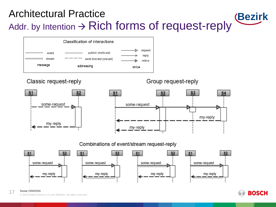#### **Bezirk** Architectural Practice Addr. by Intention  $\rightarrow$  Rich forms of request-reply